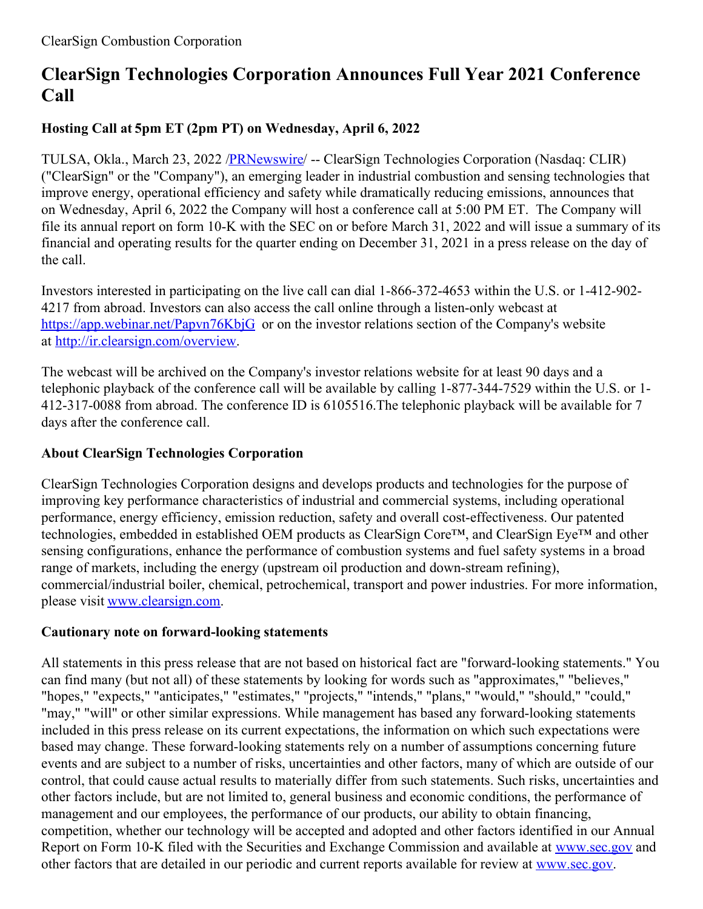## **ClearSign Technologies Corporation Announces Full Year 2021 Conference Call**

## **Hosting Call at 5pm ET (2pm PT) on Wednesday, April 6, 2022**

TULSA, Okla., March 23, 2022 [/PRNewswire](http://www.prnewswire.com/)/ -- ClearSign Technologies Corporation (Nasdaq: CLIR) ("ClearSign" or the "Company"), an emerging leader in industrial combustion and sensing technologies that improve energy, operational efficiency and safety while dramatically reducing emissions, announces that on Wednesday, April 6, 2022 the Company will host a conference call at 5:00 PM ET. The Company will file its annual report on form 10-K with the SEC on or before March 31, 2022 and will issue a summary of its financial and operating results for the quarter ending on December 31, 2021 in a press release on the day of the call.

Investors interested in participating on the live call can dial 1-866-372-4653 within the U.S. or 1-412-902- 4217 from abroad. Investors can also access the call online through a listen-only webcast at [https://app.webinar.net/Papvn76KbjG](https://c212.net/c/link/?t=0&l=en&o=3481422-1&h=1079600763&u=https%3A%2F%2Fapp.webinar.net%2FPapvn76KbjG&a=https%3A%2F%2Fapp.webinar.net%2FPapvn76KbjG) or on the investor relations section of the Company's website at [http://ir.clearsign.com/overview](https://c212.net/c/link/?t=0&l=en&o=3481422-1&h=1123530376&u=https%3A%2F%2Fc212.net%2Fc%2Flink%2F%3Ft%3D0%26l%3Den%26o%3D2619160-1%26h%3D926997948%26u%3Dhttp%253A%252F%252Fir.clearsign.com%252Foverview%26a%3Dhttp%253A%252F%252Fir.clearsign.com%252Foverview&a=http%3A%2F%2Fir.clearsign.com%2Foverview).

The webcast will be archived on the Company's investor relations website for at least 90 days and a telephonic playback of the conference call will be available by calling 1-877-344-7529 within the U.S. or 1- 412-317-0088 from abroad. The conference ID is 6105516.The telephonic playback will be available for 7 days after the conference call.

## **About ClearSign Technologies Corporation**

ClearSign Technologies Corporation designs and develops products and technologies for the purpose of improving key performance characteristics of industrial and commercial systems, including operational performance, energy efficiency, emission reduction, safety and overall cost-effectiveness. Our patented technologies, embedded in established OEM products as ClearSign Core™, and ClearSign Eye™ and other sensing configurations, enhance the performance of combustion systems and fuel safety systems in a broad range of markets, including the energy (upstream oil production and down-stream refining), commercial/industrial boiler, chemical, petrochemical, transport and power industries. For more information, please visit [www.clearsign.com](https://c212.net/c/link/?t=0&l=en&o=3481422-1&h=2520156499&u=https%3A%2F%2Fc212.net%2Fc%2Flink%2F%3Ft%3D0%26l%3Den%26o%3D2642024-1%26h%3D764954108%26u%3Dhttp%253A%252F%252Fwww.clearsign.com%252F%26a%3Dwww.clearsign.com&a=www.clearsign.com).

## **Cautionary note on forward-looking statements**

All statements in this press release that are not based on historical fact are "forward-looking statements." You can find many (but not all) of these statements by looking for words such as "approximates," "believes," "hopes," "expects," "anticipates," "estimates," "projects," "intends," "plans," "would," "should," "could," "may," "will" or other similar expressions. While management has based any forward-looking statements included in this press release on its current expectations, the information on which such expectations were based may change. These forward-looking statements rely on a number of assumptions concerning future events and are subject to a number of risks, uncertainties and other factors, many of which are outside of our control, that could cause actual results to materially differ from such statements. Such risks, uncertainties and other factors include, but are not limited to, general business and economic conditions, the performance of management and our employees, the performance of our products, our ability to obtain financing, competition, whether our technology will be accepted and adopted and other factors identified in our Annual Report on Form 10-K filed with the Securities and Exchange Commission and available at [www.sec.gov](https://c212.net/c/link/?t=0&l=en&o=3481422-1&h=1262241194&u=https%3A%2F%2Fc212.net%2Fc%2Flink%2F%3Ft%3D0%26l%3Den%26o%3D2642024-1%26h%3D18445009%26u%3Dhttp%253A%252F%252Fwww.sec.gov%252F%26a%3Dwww.sec.gov&a=www.sec.gov) and other factors that are detailed in our periodic and current reports available for review at [www.sec.gov](https://c212.net/c/link/?t=0&l=en&o=3481422-1&h=1262241194&u=https%3A%2F%2Fc212.net%2Fc%2Flink%2F%3Ft%3D0%26l%3Den%26o%3D2642024-1%26h%3D18445009%26u%3Dhttp%253A%252F%252Fwww.sec.gov%252F%26a%3Dwww.sec.gov&a=www.sec.gov).